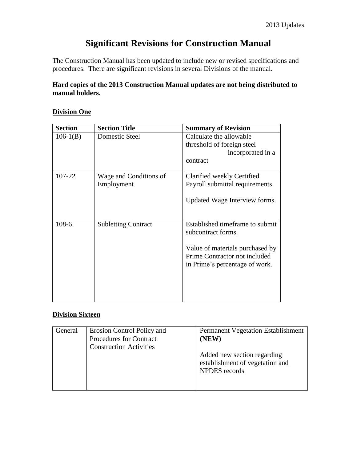# **Significant Revisions for Construction Manual**

The Construction Manual has been updated to include new or revised specifications and procedures. There are significant revisions in several Divisions of the manual.

### **Hard copies of the 2013 Construction Manual updates are not being distributed to manual holders.**

#### **Division One**

| <b>Section</b> | <b>Section Title</b>       | <b>Summary of Revision</b>                                                                         |
|----------------|----------------------------|----------------------------------------------------------------------------------------------------|
| $106-1(B)$     | Domestic Steel             | Calculate the allowable                                                                            |
|                |                            | threshold of foreign steel                                                                         |
|                |                            | incorporated in a                                                                                  |
|                |                            | contract                                                                                           |
|                |                            |                                                                                                    |
| 107-22         | Wage and Conditions of     | Clarified weekly Certified                                                                         |
|                | Employment                 | Payroll submittal requirements.                                                                    |
|                |                            | Updated Wage Interview forms.                                                                      |
| $108-6$        | <b>Subletting Contract</b> | Established timeframe to submit<br>subcontract forms.                                              |
|                |                            | Value of materials purchased by<br>Prime Contractor not included<br>in Prime's percentage of work. |
|                |                            |                                                                                                    |

#### **Division Sixteen**

| General | Erosion Control Policy and<br><b>Procedures for Contract</b><br><b>Construction Activities</b> | <b>Permanent Vegetation Establishment</b><br>(NEW)<br>Added new section regarding<br>establishment of vegetation and<br><b>NPDES</b> records |
|---------|------------------------------------------------------------------------------------------------|----------------------------------------------------------------------------------------------------------------------------------------------|
|         |                                                                                                |                                                                                                                                              |